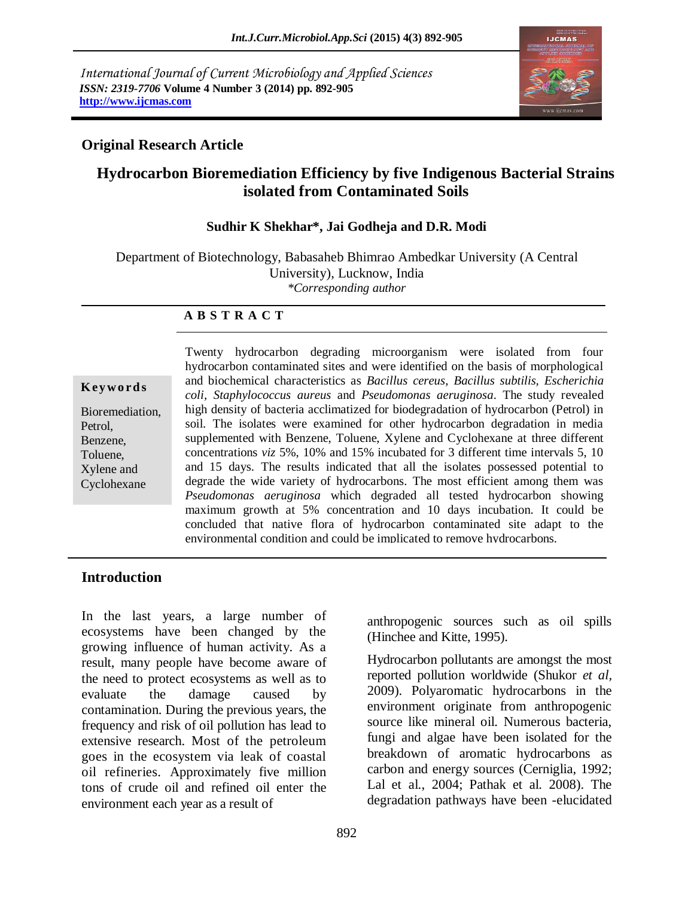*International Journal of Current Microbiology and Applied Sciences ISSN: 2319-7706* **Volume 4 Number 3 (2014) pp. 892-905 http://www.ijcmas.com**



### **Original Research Article**

# **Hydrocarbon Bioremediation Efficiency by five Indigenous Bacterial Strains isolated from Contaminated Soils**

#### **Sudhir K Shekhar\*, Jai Godheja and D.R. Modi**

Department of Biotechnology, Babasaheb Bhimrao Ambedkar University (A Central University), Lucknow, India *\*Corresponding author* 

#### **A B S T R A C T**

#### **K ey w o rd s**

Bioremediation, Petrol, Benzene, Toluene, Xylene and Cyclohexane

Twenty hydrocarbon degrading microorganism were isolated from four hydrocarbon contaminated sites and were identified on the basis of morphological and biochemical characteristics as *Bacillus cereus*, *Bacillus subtilis, Escherichia coli, Staphylococcus aureus* and *Pseudomonas aeruginosa*. The study revealed high density of bacteria acclimatized for biodegradation of hydrocarbon (Petrol) in soil. The isolates were examined for other hydrocarbon degradation in media supplemented with Benzene, Toluene, Xylene and Cyclohexane at three different concentrations *viz* 5%, 10% and 15% incubated for 3 different time intervals 5, 10 and 15 days. The results indicated that all the isolates possessed potential to degrade the wide variety of hydrocarbons. The most efficient among them was *Pseudomonas aeruginosa* which degraded all tested hydrocarbon showing maximum growth at 5% concentration and 10 days incubation. It could be concluded that native flora of hydrocarbon contaminated site adapt to the environmental condition and could be implicated to remove hydrocarbons.

### **Introduction**

In the last years, a large number of ecosystems have been changed by the growing influence of human activity. As a result, many people have become aware of the need to protect ecosystems as well as to evaluate the damage caused by contamination. During the previous years, the frequency and risk of oil pollution has lead to extensive research. Most of the petroleum goes in the ecosystem via leak of coastal oil refineries. Approximately five million tons of crude oil and refined oil enter the environment each year as a result of

anthropogenic sources such as oil spills (Hinchee and Kitte, 1995).

Hydrocarbon pollutants are amongst the most reported pollution worldwide (Shukor *et al,*  2009). Polyaromatic hydrocarbons in the environment originate from anthropogenic source like mineral oil. Numerous bacteria, fungi and algae have been isolated for the breakdown of aromatic hydrocarbons as carbon and energy sources (Cerniglia, 1992; Lal et al., 2004; Pathak et al. 2008). The degradation pathways have been -elucidated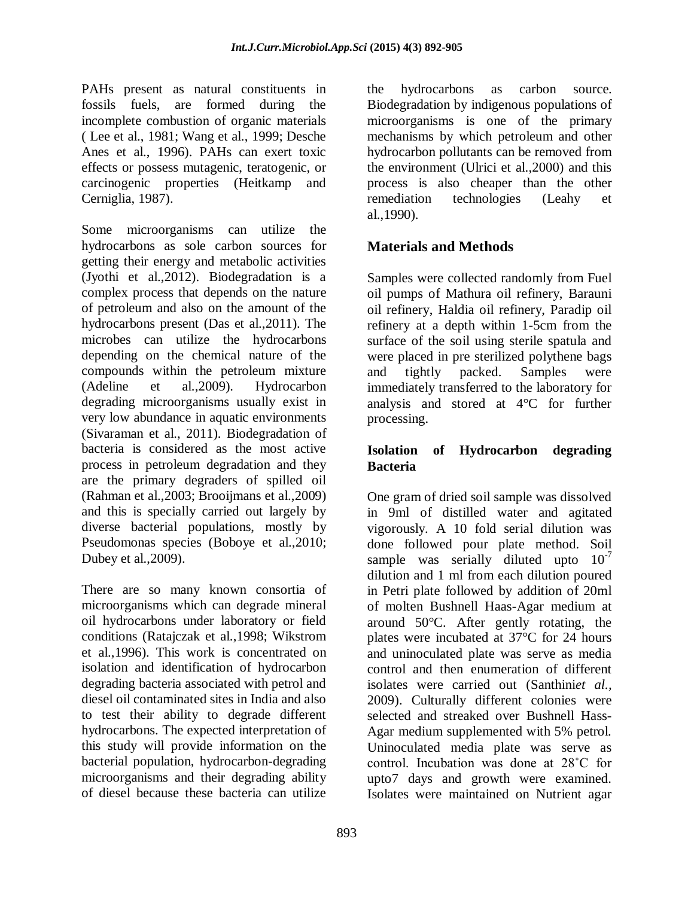PAHs present as natural constituents in fossils fuels, are formed during the incomplete combustion of organic materials ( Lee et al., 1981; Wang et al., 1999; Desche Anes et al., 1996). PAHs can exert toxic effects or possess mutagenic, teratogenic, or carcinogenic properties (Heitkamp and Cerniglia, 1987).

Some microorganisms can utilize the hydrocarbons as sole carbon sources for getting their energy and metabolic activities (Jyothi et al.,2012). Biodegradation is a complex process that depends on the nature of petroleum and also on the amount of the hydrocarbons present (Das et al.,2011). The microbes can utilize the hydrocarbons depending on the chemical nature of the compounds within the petroleum mixture (Adeline et al.,2009). Hydrocarbon degrading microorganisms usually exist in very low abundance in aquatic environments (Sivaraman et al., 2011). Biodegradation of bacteria is considered as the most active process in petroleum degradation and they are the primary degraders of spilled oil (Rahman et al.,2003; Brooijmans et al.,2009) and this is specially carried out largely by diverse bacterial populations, mostly by Pseudomonas species (Boboye et al.,2010; Dubey et al.,2009).

There are so many known consortia of microorganisms which can degrade mineral oil hydrocarbons under laboratory or field conditions (Ratajczak et al.,1998; Wikstrom et al.,1996). This work is concentrated on isolation and identification of hydrocarbon degrading bacteria associated with petrol and diesel oil contaminated sites in India and also to test their ability to degrade different hydrocarbons. The expected interpretation of this study will provide information on the bacterial population, hydrocarbon-degrading microorganisms and their degrading ability of diesel because these bacteria can utilize

the hydrocarbons as carbon source. Biodegradation by indigenous populations of microorganisms is one of the primary mechanisms by which petroleum and other hydrocarbon pollutants can be removed from the environment (Ulrici et al.,2000) and this process is also cheaper than the other remediation technologies (Leahy et al.,1990).

# **Materials and Methods**

Samples were collected randomly from Fuel oil pumps of Mathura oil refinery, Barauni oil refinery, Haldia oil refinery, Paradip oil refinery at a depth within 1-5cm from the surface of the soil using sterile spatula and were placed in pre sterilized polythene bags and tightly packed. Samples were immediately transferred to the laboratory for analysis and stored at 4°C for further processing.

### **Isolation of Hydrocarbon degrading Bacteria**

One gram of dried soil sample was dissolved in 9ml of distilled water and agitated vigorously. A 10 fold serial dilution was done followed pour plate method. Soil sample was serially diluted upto  $10^{-7}$ dilution and 1 ml from each dilution poured in Petri plate followed by addition of 20ml of molten Bushnell Haas-Agar medium at around 50°C. After gently rotating, the plates were incubated at 37°C for 24 hours and uninoculated plate was serve as media control and then enumeration of different isolates were carried out (Santhini*et al.,* 2009). Culturally different colonies were selected and streaked over Bushnell Hass-Agar medium supplemented with 5% petrol. Uninoculated media plate was serve as control. Incubation was done at 28˚C for upto7 days and growth were examined. Isolates were maintained on Nutrient agar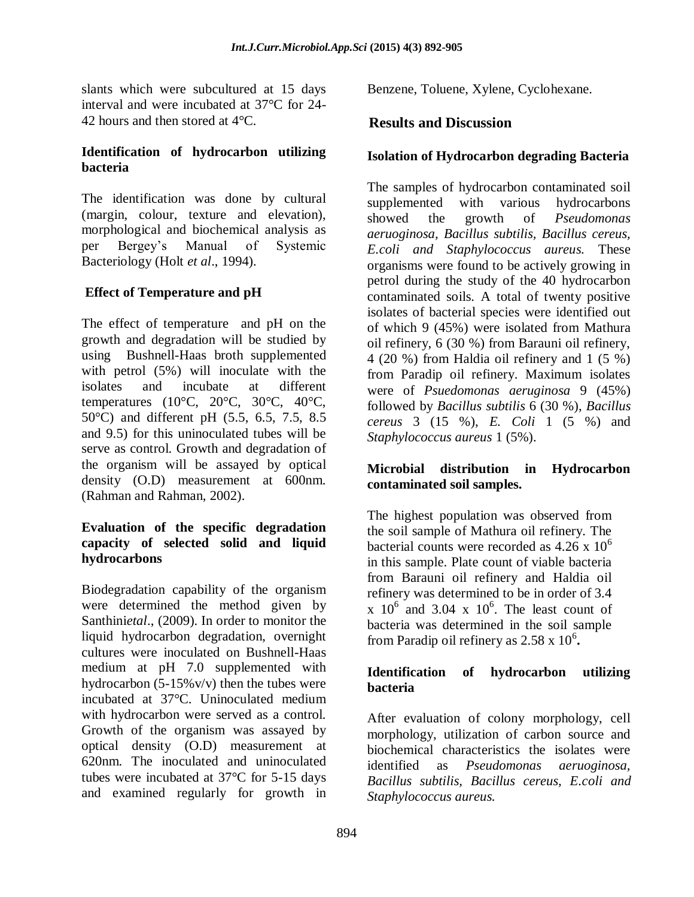slants which were subcultured at 15 days interval and were incubated at 37°C for 24- 42 hours and then stored at 4°C.

### **Identification of hydrocarbon utilizing bacteria**

The identification was done by cultural (margin, colour, texture and elevation), morphological and biochemical analysis as per Bergey's Manual of Systemic Bacteriology (Holt *et al*., 1994).

## **Effect of Temperature and pH**

The effect of temperature and pH on the growth and degradation will be studied by using Bushnell-Haas broth supplemented with petrol (5%) will inoculate with the isolates and incubate at different temperatures (10 $^{\circ}$ C, 20 $^{\circ}$ C, 30 $^{\circ}$ C, 40 $^{\circ}$ C, 50°C) and different pH (5.5, 6.5, 7.5, 8.5 and 9.5) for this uninoculated tubes will be serve as control. Growth and degradation of the organism will be assayed by optical density (O.D) measurement at 600nm. (Rahman and Rahman, 2002).

### **Evaluation of the specific degradation capacity of selected solid and liquid hydrocarbons**

Biodegradation capability of the organism were determined the method given by Santhini*etal*., (2009). In order to monitor the liquid hydrocarbon degradation, overnight cultures were inoculated on Bushnell-Haas medium at pH 7.0 supplemented with hydrocarbon  $(5-15\% \text{v/v})$  then the tubes were incubated at 37°C. Uninoculated medium with hydrocarbon were served as a control. Growth of the organism was assayed by optical density (O.D) measurement at 620nm. The inoculated and uninoculated tubes were incubated at 37°C for 5-15 days and examined regularly for growth in

Benzene, Toluene, Xylene, Cyclohexane.

### **Results and Discussion**

### **Isolation of Hydrocarbon degrading Bacteria**

The samples of hydrocarbon contaminated soil supplemented with various hydrocarbons showed the growth of *Pseudomonas aeruoginosa, Bacillus subtilis, Bacillus cereus, E.coli and Staphylococcus aureus.* These organisms were found to be actively growing in petrol during the study of the 40 hydrocarbon contaminated soils. A total of twenty positive isolates of bacterial species were identified out of which 9 (45%) were isolated from Mathura oil refinery, 6 (30 %) from Barauni oil refinery, 4 (20 %) from Haldia oil refinery and 1 (5 %) from Paradip oil refinery. Maximum isolates were of *Psuedomonas aeruginosa* 9 (45%) followed by *Bacillus subtilis* 6 (30 %), *Bacillus cereus* 3 (15 %), *E. Coli* 1 (5 %) and *Staphylococcus aureus* 1 (5%).

### **Microbial distribution in Hydrocarbon contaminated soil samples.**

The highest population was observed from the soil sample of Mathura oil refinery. The bacterial counts were recorded as  $4.26 \times 10^6$ in this sample. Plate count of viable bacteria from Barauni oil refinery and Haldia oil refinery was determined to be in order of 3.4 x  $10^6$  and 3.04 x  $10^6$ . The least count of bacteria was determined in the soil sample from Paradip oil refinery as  $2.58 \times 10^6$ .

### **Identification of hydrocarbon utilizing bacteria**

After evaluation of colony morphology, cell morphology, utilization of carbon source and biochemical characteristics the isolates were identified as *Pseudomonas aeruoginosa, Bacillus subtilis, Bacillus cereus, E.coli and Staphylococcus aureus.*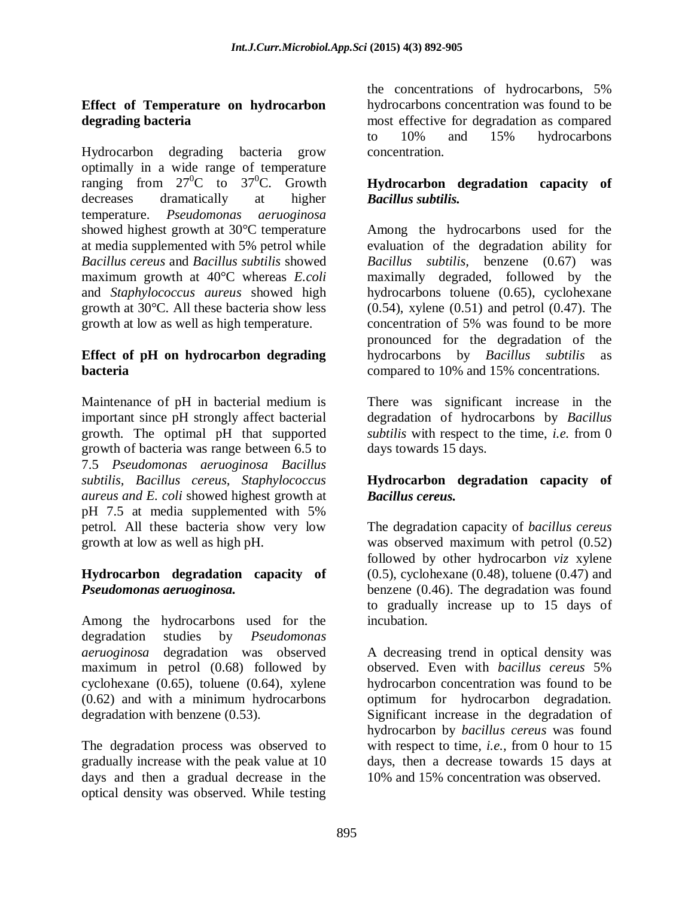### **Effect of Temperature on hydrocarbon degrading bacteria**

Hydrocarbon degrading bacteria grow optimally in a wide range of temperature ranging from  $27^0C$  to  $37^0C$ . Growth decreases dramatically at higher temperature. *Pseudomonas aeruoginosa* showed highest growth at 30°C temperature at media supplemented with 5% petrol while *Bacillus cereus* and *Bacillus subtilis* showed maximum growth at 40°C whereas *E.coli* and *Staphylococcus aureus* showed high growth at 30°C. All these bacteria show less growth at low as well as high temperature.

### **Effect of pH on hydrocarbon degrading bacteria**

Maintenance of pH in bacterial medium is important since pH strongly affect bacterial growth. The optimal pH that supported growth of bacteria was range between 6.5 to 7.5 *Pseudomonas aeruoginosa Bacillus subtilis, Bacillus cereus, Staphylococcus aureus and E. coli* showed highest growth at pH 7.5 at media supplemented with 5% petrol. All these bacteria show very low growth at low as well as high pH.

### **Hydrocarbon degradation capacity of**  *Pseudomonas aeruoginosa.*

Among the hydrocarbons used for the degradation studies by *Pseudomonas aeruoginosa* degradation was observed maximum in petrol (0.68) followed by cyclohexane (0.65), toluene (0.64), xylene (0.62) and with a minimum hydrocarbons degradation with benzene (0.53).

The degradation process was observed to gradually increase with the peak value at 10 days and then a gradual decrease in the optical density was observed. While testing

the concentrations of hydrocarbons, 5% hydrocarbons concentration was found to be most effective for degradation as compared to 10% and 15% hydrocarbons concentration.

### **Hydrocarbon degradation capacity of**  *Bacillus subtilis.*

Among the hydrocarbons used for the evaluation of the degradation ability for *Bacillus subtilis,* benzene (0.67) was maximally degraded, followed by the hydrocarbons toluene (0.65), cyclohexane  $(0.54)$ , xylene  $(0.51)$  and petrol  $(0.47)$ . The concentration of 5% was found to be more pronounced for the degradation of the hydrocarbons by *Bacillus subtilis* as compared to 10% and 15% concentrations.

There was significant increase in the degradation of hydrocarbons by *Bacillus subtilis* with respect to the time, *i.e.* from 0 days towards 15 days.

### **Hydrocarbon degradation capacity of**  *Bacillus cereus.*

The degradation capacity of *bacillus cereus*  was observed maximum with petrol (0.52) followed by other hydrocarbon *viz* xylene  $(0.5)$ , cyclohexane  $(0.48)$ , toluene  $(0.47)$  and benzene (0.46). The degradation was found to gradually increase up to 15 days of incubation.

A decreasing trend in optical density was observed. Even with *bacillus cereus* 5% hydrocarbon concentration was found to be optimum for hydrocarbon degradation. Significant increase in the degradation of hydrocarbon by *bacillus cereus* was found with respect to time*, i.e.,* from 0 hour to 15 days, then a decrease towards 15 days at 10% and 15% concentration was observed.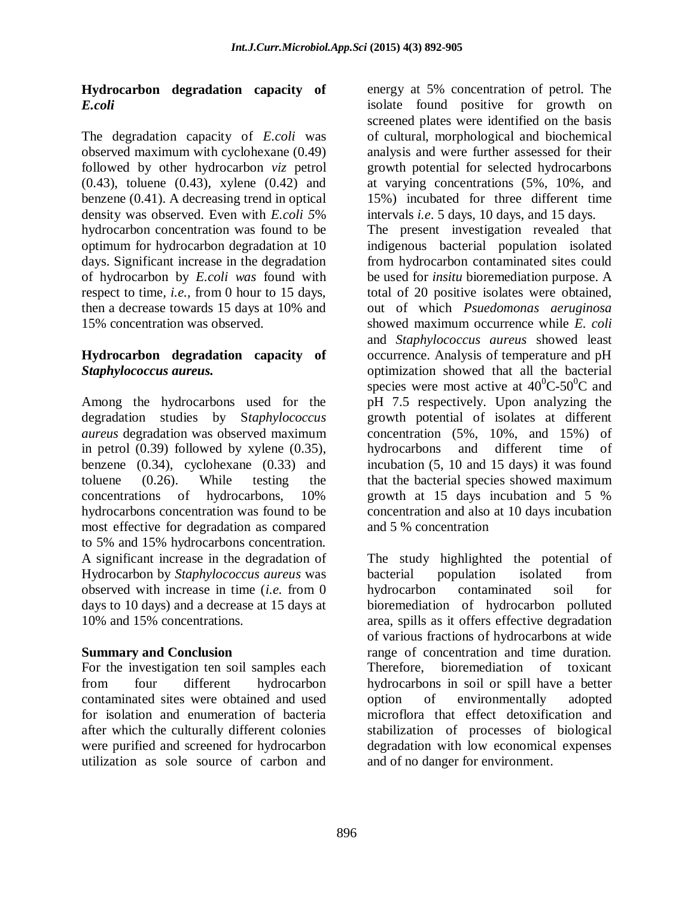### **Hydrocarbon degradation capacity of**  *E.coli*

The degradation capacity of *E.coli* was observed maximum with cyclohexane (0.49) followed by other hydrocarbon *viz* petrol (0.43), toluene (0.43), xylene (0.42) and benzene (0.41). A decreasing trend in optical density was observed. Even with *E.coli 5*% hydrocarbon concentration was found to be optimum for hydrocarbon degradation at 10 days. Significant increase in the degradation of hydrocarbon by *E.coli was* found with respect to time*, i.e.,* from 0 hour to 15 days, then a decrease towards 15 days at 10% and 15% concentration was observed.

### **Hydrocarbon degradation capacity of**  *Staphylococcus aureus.*

Among the hydrocarbons used for the degradation studies by S*taphylococcus aureus* degradation was observed maximum in petrol (0.39) followed by xylene (0.35), benzene (0.34), cyclohexane (0.33) and toluene (0.26). While testing the concentrations of hydrocarbons, 10% hydrocarbons concentration was found to be most effective for degradation as compared to 5% and 15% hydrocarbons concentration. A significant increase in the degradation of Hydrocarbon by *Staphylococcus aureus* was observed with increase in time (*i.e.* from 0 days to 10 days) and a decrease at 15 days at 10% and 15% concentrations.

### **Summary and Conclusion**

For the investigation ten soil samples each from four different hydrocarbon contaminated sites were obtained and used for isolation and enumeration of bacteria after which the culturally different colonies were purified and screened for hydrocarbon utilization as sole source of carbon and

energy at 5% concentration of petrol. The isolate found positive for growth on screened plates were identified on the basis of cultural, morphological and biochemical analysis and were further assessed for their growth potential for selected hydrocarbons at varying concentrations (5%, 10%, and 15%) incubated for three different time intervals *i.e*. 5 days, 10 days, and 15 days. The present investigation revealed that indigenous bacterial population isolated from hydrocarbon contaminated sites could be used for *insitu* bioremediation purpose. A total of 20 positive isolates were obtained, out of which *Psuedomonas aeruginosa* showed maximum occurrence while *E. coli* and *Staphylococcus aureus* showed least occurrence. Analysis of temperature and pH optimization showed that all the bacterial species were most active at  $40^{\circ}$ C-50<sup>°</sup>C and pH 7.5 respectively. Upon analyzing the growth potential of isolates at different

concentration (5%, 10%, and 15%) of hydrocarbons and different time of incubation (5, 10 and 15 days) it was found that the bacterial species showed maximum growth at 15 days incubation and 5 % concentration and also at 10 days incubation

and 5 % concentration

The study highlighted the potential of bacterial population isolated from hydrocarbon contaminated soil for bioremediation of hydrocarbon polluted area, spills as it offers effective degradation of various fractions of hydrocarbons at wide range of concentration and time duration. Therefore, bioremediation of toxicant hydrocarbons in soil or spill have a better option of environmentally adopted microflora that effect detoxification and stabilization of processes of biological degradation with low economical expenses and of no danger for environment.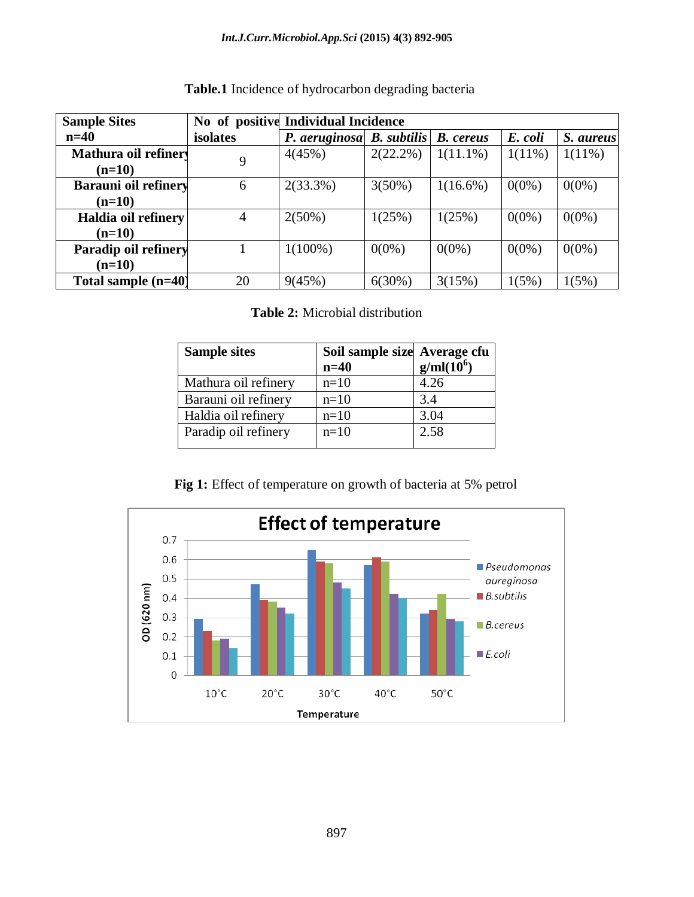| <b>Sample Sites</b>         | No of positive | <b>Individual Incidence</b>             |             |             |           |           |
|-----------------------------|----------------|-----------------------------------------|-------------|-------------|-----------|-----------|
| $n=40$                      | isolates       | P. aeruginosa   B. subtilis   B. cereus |             |             | E. coli   | S. aureus |
| <b>Mathura oil refinery</b> |                | 4(45%)                                  | $2(22.2\%)$ | $1(11.1\%)$ | $1(11\%)$ | $1(11\%)$ |
| $(n=10)$                    |                |                                         |             |             |           |           |
| <b>Barauni oil refinery</b> | 6              | 2(33.3%)                                | $3(50\%)$   | $1(16.6\%)$ | $0(0\%)$  | $0(0\%)$  |
| $(n=10)$                    |                |                                         |             |             |           |           |
| Haldia oil refinery         |                | $2(50\%)$                               | 1(25%)      | 1(25%)      | $0(0\%)$  | $0(0\%)$  |
| $(n=10)$                    |                |                                         |             |             |           |           |
| Paradip oil refinery        |                | $1(100\%)$                              | $0(0\%)$    | $0(0\%)$    | $0(0\%)$  | $0(0\%)$  |
| $(n=10)$                    |                |                                         |             |             |           |           |
| Total sample (n=40)         | 20             | 9(45%)                                  | 6(30%)      | 3(15%)      | 1(5%)     | 1(5%)     |

## **Table.1** Incidence of hydrocarbon degrading bacteria

**Table 2:** Microbial distribution

| <b>Sample sites</b>  | Soil sample size Average cfu |              |
|----------------------|------------------------------|--------------|
|                      | $n=40$                       | $g/ml(10^6)$ |
| Mathura oil refinery | $n=10$                       | 4.26         |
| Barauni oil refinery | $n=10$                       | 3.4          |
| Haldia oil refinery  | $n=10$                       | 3.04         |
| Paradip oil refinery | $n=10$                       | 2.58         |

**Fig 1:** Effect of temperature on growth of bacteria at 5% petrol

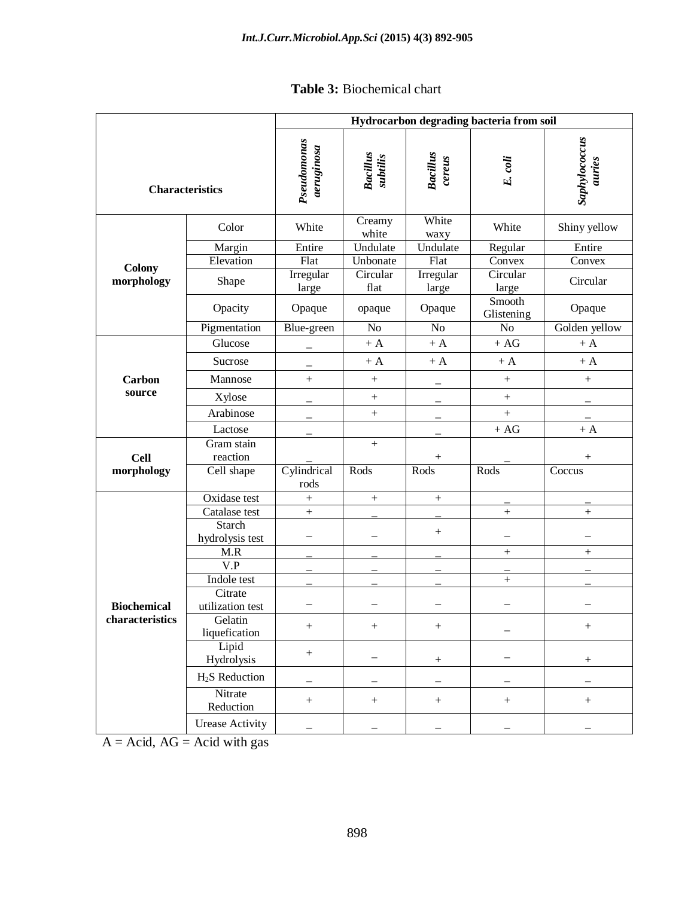|  | <b>Table 3: Biochemical chart</b> |  |
|--|-----------------------------------|--|
|--|-----------------------------------|--|

|                                                                                                                                                                                                                                                                                                                                                                                                                                                                                                                                                                                                                                                                                                                                                                                                                                                                                                                                                                 |              |                           |                             |                           | Hydrocarbon degrading bacteria from soil |                         |
|-----------------------------------------------------------------------------------------------------------------------------------------------------------------------------------------------------------------------------------------------------------------------------------------------------------------------------------------------------------------------------------------------------------------------------------------------------------------------------------------------------------------------------------------------------------------------------------------------------------------------------------------------------------------------------------------------------------------------------------------------------------------------------------------------------------------------------------------------------------------------------------------------------------------------------------------------------------------|--------------|---------------------------|-----------------------------|---------------------------|------------------------------------------|-------------------------|
|                                                                                                                                                                                                                                                                                                                                                                                                                                                                                                                                                                                                                                                                                                                                                                                                                                                                                                                                                                 |              | Pseudomonas<br>aeruginosa | <b>Bacillus</b><br>subtilis | <b>Bacillus</b><br>cereus | E. coli                                  | Saphylococcus<br>auries |
|                                                                                                                                                                                                                                                                                                                                                                                                                                                                                                                                                                                                                                                                                                                                                                                                                                                                                                                                                                 | Color        | White                     | Creamy<br>white             | White<br>waxy             | White                                    | Shiny yellow            |
|                                                                                                                                                                                                                                                                                                                                                                                                                                                                                                                                                                                                                                                                                                                                                                                                                                                                                                                                                                 | Margin       | Entire                    | Undulate                    | Undulate                  | Regular                                  | Entire                  |
|                                                                                                                                                                                                                                                                                                                                                                                                                                                                                                                                                                                                                                                                                                                                                                                                                                                                                                                                                                 | Elevation    | Flat                      | Unbonate                    | Flat                      | Convex                                   | Convex                  |
| morphology                                                                                                                                                                                                                                                                                                                                                                                                                                                                                                                                                                                                                                                                                                                                                                                                                                                                                                                                                      | Shape        | Irregular<br>large        | Circular<br>flat            | Irregular<br>large        | Circular<br>large                        | Circular                |
|                                                                                                                                                                                                                                                                                                                                                                                                                                                                                                                                                                                                                                                                                                                                                                                                                                                                                                                                                                 | Opacity      | Opaque                    | opaque                      | Opaque                    | Glistening                               | Opaque                  |
|                                                                                                                                                                                                                                                                                                                                                                                                                                                                                                                                                                                                                                                                                                                                                                                                                                                                                                                                                                 | Pigmentation | Blue-green                | N <sub>o</sub>              | N <sub>o</sub>            | $\rm No$                                 | Golden yellow           |
|                                                                                                                                                                                                                                                                                                                                                                                                                                                                                                                                                                                                                                                                                                                                                                                                                                                                                                                                                                 | Glucose      |                           | $+ A$                       | $+ A$                     | $+ AG$                                   | $+ A$                   |
|                                                                                                                                                                                                                                                                                                                                                                                                                                                                                                                                                                                                                                                                                                                                                                                                                                                                                                                                                                 | Sucrose      |                           | $+ A$                       | $+ A$                     | $+ A$                                    | $+ A$                   |
| <b>Characteristics</b><br>Colony<br>Smooth<br>Mannose<br>Carbon<br>$^{+}$<br>$^{+}$<br>$\boldsymbol{+}$<br>source<br>Xylose<br>$\qquad \qquad +$<br>$\boldsymbol{+}$<br>Arabinose<br>$\ddot{}$<br>$^{+}$<br>$+ AG$<br>Lactose<br>Gram stain<br>$^{+}$<br>reaction<br><b>Cell</b><br>$^{+}$<br>Cylindrical<br>Rods<br>Rods<br>Rods<br>morphology<br>Cell shape<br>rods<br>Oxidase test<br>$\boldsymbol{+}$<br>$\boldsymbol{+}$<br>$^+$<br>Catalase test<br>$\qquad \qquad +$<br>$\! + \!$<br><b>Starch</b><br>$^{+}$<br>hydrolysis test<br>M.R<br>$\qquad \qquad +$<br>V.P<br>Indole test<br>$\ddot{}$<br>Citrate<br>utilization test<br><b>Biochemical</b><br>characteristics<br>Gelatin<br>$\boldsymbol{+}$<br>$\boldsymbol{+}$<br>$+$<br>liquefication<br>Lipid<br>$^{+}$<br>Hydrolysis<br>—<br>H <sub>2</sub> S Reduction<br>$\qquad \qquad -$<br>$\qquad \qquad -$<br>—<br>Nitrate<br>$+$<br>$^{+}$<br>$+$<br>$^{+}$<br>Reduction<br><b>Urease Activity</b> |              |                           |                             |                           | $\! + \!$                                |                         |
|                                                                                                                                                                                                                                                                                                                                                                                                                                                                                                                                                                                                                                                                                                                                                                                                                                                                                                                                                                 |              |                           |                             |                           |                                          |                         |
|                                                                                                                                                                                                                                                                                                                                                                                                                                                                                                                                                                                                                                                                                                                                                                                                                                                                                                                                                                 |              |                           |                             |                           |                                          |                         |
|                                                                                                                                                                                                                                                                                                                                                                                                                                                                                                                                                                                                                                                                                                                                                                                                                                                                                                                                                                 |              |                           | $+ A$                       |                           |                                          |                         |
|                                                                                                                                                                                                                                                                                                                                                                                                                                                                                                                                                                                                                                                                                                                                                                                                                                                                                                                                                                 |              |                           |                             |                           |                                          |                         |
|                                                                                                                                                                                                                                                                                                                                                                                                                                                                                                                                                                                                                                                                                                                                                                                                                                                                                                                                                                 |              |                           |                             |                           |                                          | $^{+}$                  |
|                                                                                                                                                                                                                                                                                                                                                                                                                                                                                                                                                                                                                                                                                                                                                                                                                                                                                                                                                                 |              |                           |                             |                           |                                          | Coccus                  |
|                                                                                                                                                                                                                                                                                                                                                                                                                                                                                                                                                                                                                                                                                                                                                                                                                                                                                                                                                                 |              |                           |                             |                           |                                          |                         |
|                                                                                                                                                                                                                                                                                                                                                                                                                                                                                                                                                                                                                                                                                                                                                                                                                                                                                                                                                                 |              |                           |                             |                           |                                          | $^{+}$                  |
|                                                                                                                                                                                                                                                                                                                                                                                                                                                                                                                                                                                                                                                                                                                                                                                                                                                                                                                                                                 |              |                           |                             |                           |                                          |                         |
|                                                                                                                                                                                                                                                                                                                                                                                                                                                                                                                                                                                                                                                                                                                                                                                                                                                                                                                                                                 |              |                           |                             |                           |                                          |                         |
|                                                                                                                                                                                                                                                                                                                                                                                                                                                                                                                                                                                                                                                                                                                                                                                                                                                                                                                                                                 |              |                           |                             |                           |                                          | $^{+}$                  |
|                                                                                                                                                                                                                                                                                                                                                                                                                                                                                                                                                                                                                                                                                                                                                                                                                                                                                                                                                                 |              |                           |                             |                           |                                          |                         |
|                                                                                                                                                                                                                                                                                                                                                                                                                                                                                                                                                                                                                                                                                                                                                                                                                                                                                                                                                                 |              |                           |                             |                           |                                          |                         |
|                                                                                                                                                                                                                                                                                                                                                                                                                                                                                                                                                                                                                                                                                                                                                                                                                                                                                                                                                                 |              |                           |                             |                           |                                          |                         |
|                                                                                                                                                                                                                                                                                                                                                                                                                                                                                                                                                                                                                                                                                                                                                                                                                                                                                                                                                                 |              |                           |                             |                           |                                          |                         |
|                                                                                                                                                                                                                                                                                                                                                                                                                                                                                                                                                                                                                                                                                                                                                                                                                                                                                                                                                                 |              |                           |                             |                           |                                          | $\boldsymbol{+}$        |
|                                                                                                                                                                                                                                                                                                                                                                                                                                                                                                                                                                                                                                                                                                                                                                                                                                                                                                                                                                 |              |                           |                             |                           |                                          | $\boldsymbol{+}$        |
|                                                                                                                                                                                                                                                                                                                                                                                                                                                                                                                                                                                                                                                                                                                                                                                                                                                                                                                                                                 |              |                           |                             |                           |                                          |                         |
|                                                                                                                                                                                                                                                                                                                                                                                                                                                                                                                                                                                                                                                                                                                                                                                                                                                                                                                                                                 |              |                           |                             |                           |                                          |                         |
|                                                                                                                                                                                                                                                                                                                                                                                                                                                                                                                                                                                                                                                                                                                                                                                                                                                                                                                                                                 |              |                           |                             |                           |                                          |                         |

 $A = Acid$ ,  $AG = Acid$  with gas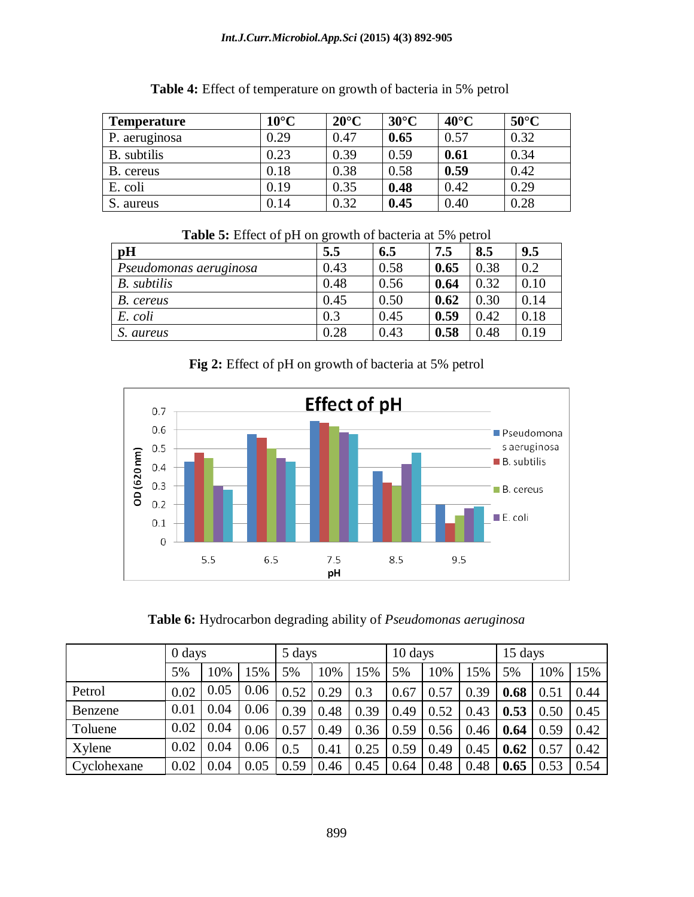#### *Int.J.Curr.Microbiol.App.Sci* **(2015) 4(3) 892-905**

| <b>Temperature</b> | $10^{\circ}$ C | $20^{\circ}$ C | $30^{\circ}$ C | $40^{\circ}$ C | $50^{\circ}$ C |
|--------------------|----------------|----------------|----------------|----------------|----------------|
| P. aeruginosa      | 0.29           | 0.47           | 0.65           | 0.57           | 0.32           |
| B. subtilis        | 0.23           | 0.39           | 0.59           | 0.61           | 0.34           |
| B. cereus          | 0.18           | 0.38           | 0.58           | 0.59           | 0.42           |
| E. coli            | 0.19           | 0.35           | 0.48           | 0.42           | 0.29           |
| S. aureus          | 0.14           | 0.32           | 0.45           | 0.40           | 0.28           |

|  | Table 4: Effect of temperature on growth of bacteria in 5% petrol |  |  |  |
|--|-------------------------------------------------------------------|--|--|--|
|  |                                                                   |  |  |  |

| pH                     | 5.5  | 6.5  | 7.5  | 8.5  |      |  |  |
|------------------------|------|------|------|------|------|--|--|
| Pseudomonas aeruginosa | 0.43 | 0.58 | 0.65 | 0.38 | 0.2  |  |  |
| B. subtilis            | 0.48 | 0.56 | 0.64 | 0.32 | 0.10 |  |  |
| B. cereus              | 0.45 | 0.50 | 0.62 | 0.30 | 0.14 |  |  |
| E. coli                | 0.3  | 0.45 | 0.59 | 0.42 | 0.18 |  |  |
| S. aureus              | 0.28 | 0.43 | 0.58 | 0.48 | 0.19 |  |  |

**Table 5:** Effect of pH on growth of bacteria at 5% petrol





**Table 6:** Hydrocarbon degrading ability of *Pseudomonas aeruginosa*

|             |      | $0 \, \text{days}$ |      |      | 5 days |      | 10 days |      |      | 15 days |      |      |
|-------------|------|--------------------|------|------|--------|------|---------|------|------|---------|------|------|
|             | 5%   | 10%                | 15%  | 5%   | 10%    | 15%  | 5%      | 10%  | 15%  | 5%      | 10%  | 15%  |
| Petrol      | 0.02 | 0.05               | 0.06 | 0.52 | 0.29   | 0.3  | 0.67    | 0.57 | 0.39 | 0.68    | 0.51 | 0.44 |
| Benzene     | 0.01 | 0.04               | 0.06 | 0.39 | 0.48   | 0.39 | 0.49    | 0.52 | 0.43 | 0.53    | 0.50 | 0.45 |
| Toluene     | 0.02 | 0.04               | 0.06 | 0.57 | 0.49   | 0.36 | 0.59    | 0.56 | 0.46 | 0.64    | 0.59 | 0.42 |
| Xylene      | 0.02 | 0.04               | 0.06 | 0.5  | 0.41   | 0.25 | 0.59    | 0.49 | 0.45 | 0.62    | 0.57 | 0.42 |
| Cyclohexane | 0.02 | 0.04               | 0.05 | 0.59 | 0.46   | 0.45 | 0.64    | 0.48 | 0.48 | 0.65    | 0.53 | 0.54 |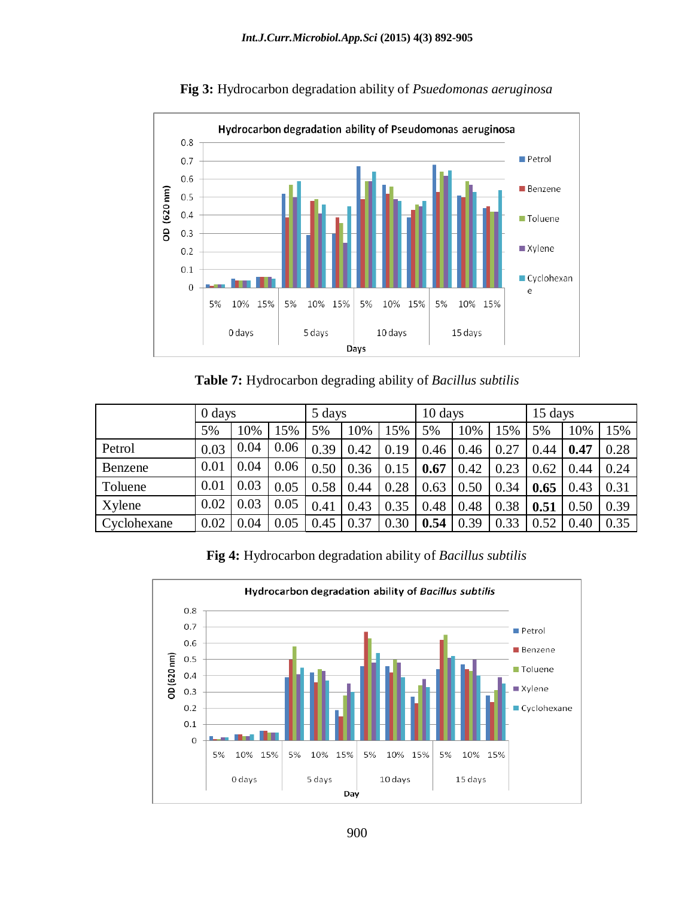

**Fig 3:** Hydrocarbon degradation ability of *Psuedomonas aeruginosa*

**Table 7:** Hydrocarbon degrading ability of *Bacillus subtilis*

|             | $0$ days |      |      | 5 days |      |      | 10 days |      |      | 15 days |      |      |
|-------------|----------|------|------|--------|------|------|---------|------|------|---------|------|------|
|             | 5%       | 10%  | 15%  | 5%     | 10%  | 15%  | 5%      | 10%  | 15%  | 5%      | 10%  | 15%  |
| Petrol      | 0.03     | 0.04 | 0.06 | 0.39   | 0.42 | 0.19 | 0.46    | 0.46 | 0.27 | 0.44    | 0.47 | 0.28 |
| Benzene     | 0.01     | 0.04 | 0.06 | 0.50   | 0.36 | 0.15 | 0.67    | 0.42 | 0.23 | 0.62    | 0.44 | 0.24 |
| Toluene     | 0.01     | 0.03 | 0.05 | 0.58   | 0.44 | 0.28 | 0.63    | 0.50 | 0.34 | 0.65    | 0.43 | 0.31 |
| Xylene      | 0.02     | 0.03 | 0.05 | 0.41   | 0.43 | 0.35 | 0.48    | 0.48 | 0.38 | 0.51    | 0.50 | 0.39 |
| Cyclohexane | 0.02     | 0.04 | 0.05 | 0.45   | 0.37 | 0.30 | 0.54    | 0.39 | 0.33 | 0.52    | 0.40 | 0.35 |

**Fig 4:** Hydrocarbon degradation ability of *Bacillus subtilis*

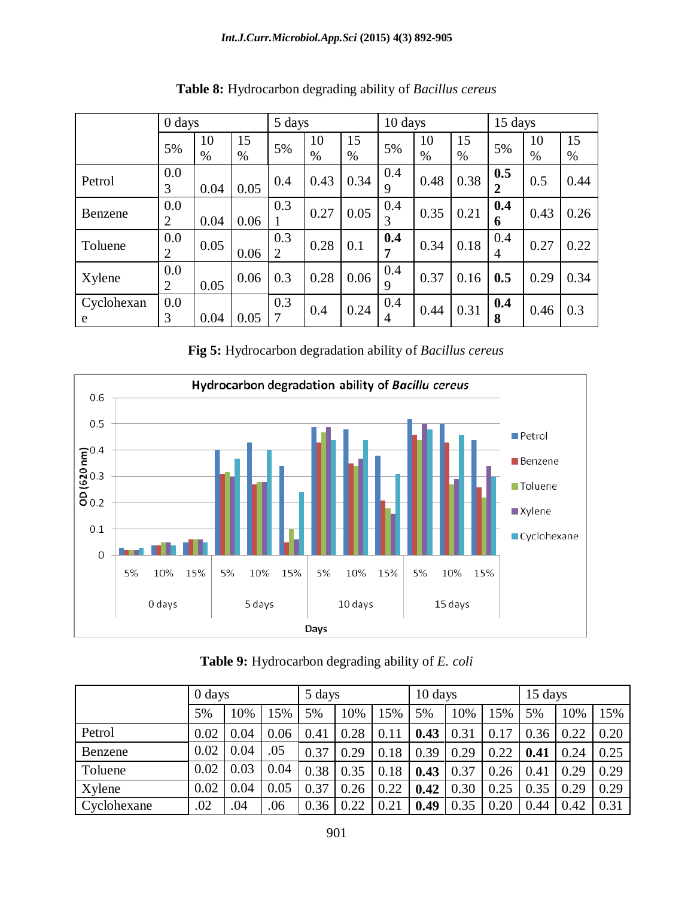|                 | $0$ days |            |            | 5 days   |            |            | 10 days  |            |            | 15 days               |            |            |
|-----------------|----------|------------|------------|----------|------------|------------|----------|------------|------------|-----------------------|------------|------------|
|                 | 5%       | 10<br>$\%$ | 15<br>$\%$ | 5%       | 10<br>$\%$ | 15<br>$\%$ | 5%       | 10<br>$\%$ | 15<br>$\%$ | 5%                    | 10<br>$\%$ | 15<br>$\%$ |
| Petrol          | 0.0<br>3 | 0.04       | 0.05       | 0.4      | 0.43       | 0.34       | 0.4<br>9 | 0.48       | 0.38       | 0.5<br>2              | 0.5        | 0.44       |
| Benzene         | 0.0<br>2 | 0.04       | 0.06       | 0.3      | 0.27       | 0.05       | 0.4<br>3 | 0.35       | 0.21       | 0.4<br>6              | 0.43       | 0.26       |
| Toluene         | 0.0<br>2 | 0.05       | 0.06       | 0.3<br>2 | 0.28       | 0.1        | 0.4<br>7 | 0.34       | 0.18       | 0.4<br>$\overline{4}$ | 0.27       | 0.22       |
| Xylene          | 0.0<br>2 | 0.05       | 0.06       | 0.3      | 0.28       | 0.06       | 0.4<br>9 | 0.37       | 0.16       | 0.5                   | 0.29       | 0.34       |
| Cyclohexan<br>e | 0.0<br>3 | 0.04       | 0.05       | 0.3<br>7 | 0.4        | 0.24       | 0.4<br>4 | 0.44       | 0.31       | 0.4<br>8              | 0.46       | 0.3        |

**Table 8:** Hydrocarbon degrading ability of *Bacillus cereus*

**Fig 5:** Hydrocarbon degradation ability of *Bacillus cereus*



**Table 9:** Hydrocarbon degrading ability of *E. coli*

|             |      | $0 \, \text{days}$ |      |      | 5 days |      | 10 days |      |      | 15 days |      |      |
|-------------|------|--------------------|------|------|--------|------|---------|------|------|---------|------|------|
|             | 5%   | 10%                | 15%  | 5%   | 10%    | 15%  | 5%      | 10%  | 15%  | 5%      | 10%  | 15%  |
| Petrol      | 0.02 | 0.04               | 0.06 | 0.41 | 0.28   | 0.11 | 0.43    | 0.31 | 0.17 | 0.36    | 0.22 | 0.20 |
| Benzene     | 0.02 | 0.04               | .05  | 0.37 | 0.29   | 0.18 | 0.39    | 0.29 | 0.22 | 0.41    | 0.24 | 0.25 |
| Toluene     | 0.02 | 0.03               | 0.04 | 0.38 | 0.35   | 0.18 | 0.43    | 0.37 | 0.26 | 0.41    | 0.29 | 0.29 |
| Xylene      | 0.02 | 0.04               | 0.05 | 0.37 | 0.26   | 0.22 | 0.42    | 0.30 | 0.25 | 0.35    | 0.29 | 0.29 |
| Cyclohexane | .02  | .04                | .06  | 0.36 | 0.22   | 0.21 | 0.49    | 0.35 | 0.20 | 0.44    | 0.42 | 0.31 |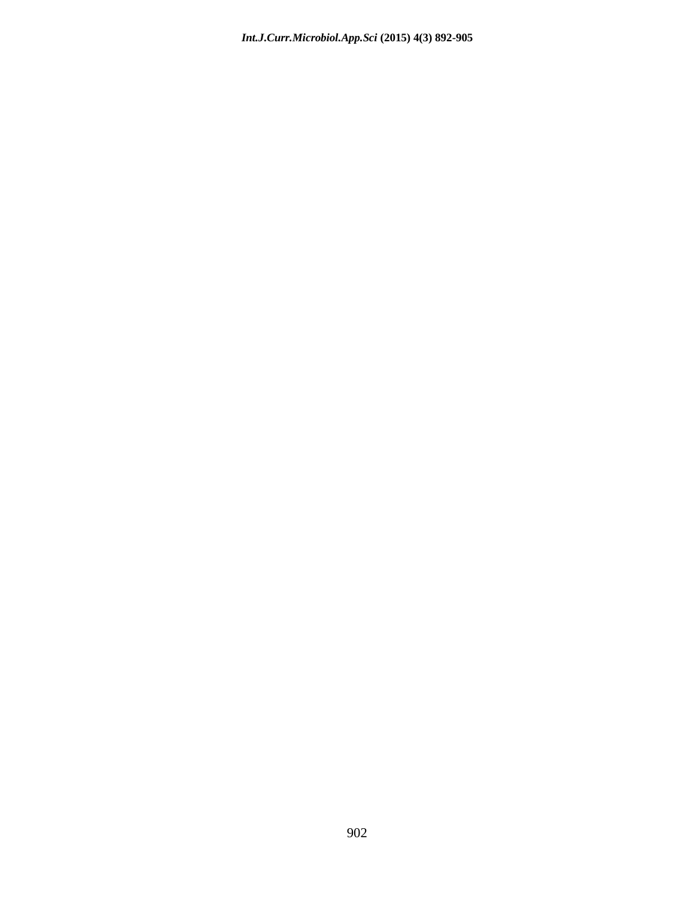*Int.J.Curr.Microbiol.App.Sci* **(2015) 4(3) 892-905**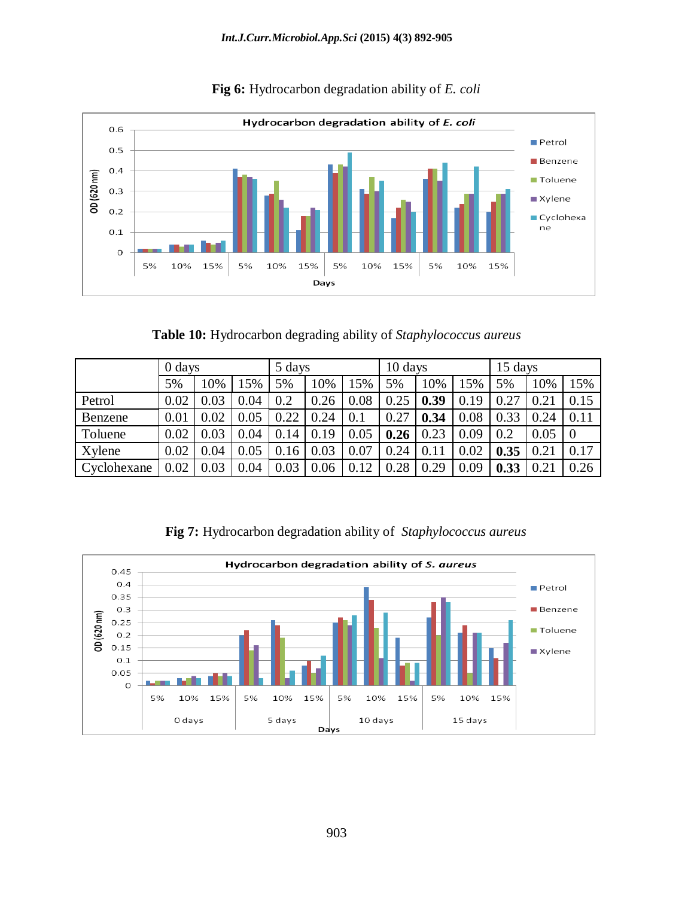

### **Fig 6:** Hydrocarbon degradation ability of *E. coli*

**Table 10:** Hydrocarbon degrading ability of *Staphylococcus aureus*

|             |      | $0$ days |      |      | 5 days |      |      | 10 days<br>15 days |      |      |      |      |
|-------------|------|----------|------|------|--------|------|------|--------------------|------|------|------|------|
|             | 5%   | 10%      | 15%  | 5%   | 10%    | 15%  | 5%   | 10%                | 15%  | 5%   | 10%  | 15%  |
| Petrol      | 0.02 | 0.03     | 0.04 | 0.2  | 0.26   | 0.08 | 0.25 | 0.39               | 0.19 | 0.27 | 0.21 | 0.15 |
| Benzene     | 0.01 | 0.02     | 0.05 | 0.22 | 0.24   | 0.1  | 0.27 | 0.34               | 0.08 | 0.33 | 0.24 | 0.11 |
| Toluene     | 0.02 | $0.03\,$ | 0.04 | 0.14 | 0.19   | 0.05 | 0.26 | 0.23               | 0.09 | 0.2  | 0.05 | -0   |
| Xylene      | 0.02 | .04      | 0.05 | 0.16 | 0.03   | 0.07 | 0.24 |                    | 0.02 | 0.35 | 0.21 | 0.17 |
| Cyclohexane | 0.02 | 0.03     | 0.04 | 0.03 | 0.06   | 0.12 | 0.28 | 0.29               | 0.09 | 0.33 | 0.2  | 0.26 |

**Fig 7:** Hydrocarbon degradation ability of *Staphylococcus aureus*

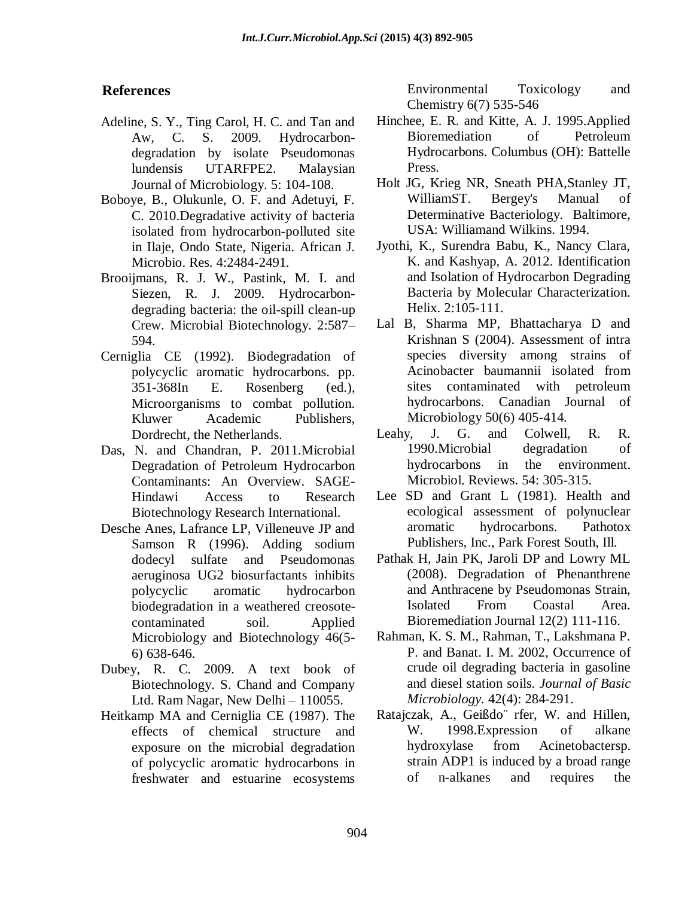### **References**

- Adeline, S. Y., Ting Carol, H. C. and Tan and Aw, C. S. 2009. Hydrocarbondegradation by isolate Pseudomonas lundensis UTARFPE2. Malaysian Journal of Microbiology. 5: 104-108.
- Boboye, B., Olukunle, O. F. and Adetuyi, F. C. 2010.Degradative activity of bacteria isolated from hydrocarbon-polluted site in Ilaje, Ondo State, Nigeria. African J. Microbio. Res. 4:2484-2491.
- Brooijmans, R. J. W., Pastink, M. I. and Siezen, R. J. 2009. Hydrocarbondegrading bacteria: the oil-spill clean-up Crew. Microbial Biotechnology. 2:587– 594.
- Cerniglia CE (1992). Biodegradation of polycyclic aromatic hydrocarbons. pp. 351-368In E. Rosenberg (ed.), Microorganisms to combat pollution. Kluwer Academic Publishers, Dordrecht, the Netherlands.
- Das, N. and Chandran, P. 2011.Microbial Degradation of Petroleum Hydrocarbon Contaminants: An Overview. SAGE-Hindawi Access to Research Biotechnology Research International.
- Desche Anes, Lafrance LP, Villeneuve JP and Samson R (1996). Adding sodium dodecyl sulfate and Pseudomonas aeruginosa UG2 biosurfactants inhibits polycyclic aromatic hydrocarbon biodegradation in a weathered creosotecontaminated soil. Applied Microbiology and Biotechnology 46(5- 6) 638-646.
- Dubey, R. C. 2009. A text book of Biotechnology. S. Chand and Company Ltd. Ram Nagar, New Delhi – 110055.
- Heitkamp MA and Cerniglia CE (1987). The effects of chemical structure and exposure on the microbial degradation of polycyclic aromatic hydrocarbons in freshwater and estuarine ecosystems

Environmental Toxicology and Chemistry 6(7) 535-546

- Hinchee, E. R. and Kitte, A. J. 1995.Applied Bioremediation of Petroleum Hydrocarbons. Columbus (OH): Battelle Press.
- Holt JG, Krieg NR, Sneath PHA,Stanley JT, WilliamST. Bergey's Manual of Determinative Bacteriology. Baltimore, USA: Williamand Wilkins. 1994.
- Jyothi, K., Surendra Babu, K., Nancy Clara, K. and Kashyap, A. 2012. Identification and Isolation of Hydrocarbon Degrading Bacteria by Molecular Characterization. Helix. 2:105-111.
- Lal B, Sharma MP, Bhattacharya D and Krishnan S (2004). Assessment of intra species diversity among strains of Acinobacter baumannii isolated from sites contaminated with petroleum hydrocarbons. Canadian Journal of Microbiology 50(6) 405-414.
- Leahy, J. G. and Colwell, R. R. 1990.Microbial degradation of hydrocarbons in the environment. Microbiol. Reviews. 54: 305-315.
- Lee SD and Grant L (1981). Health and ecological assessment of polynuclear aromatic hydrocarbons. Pathotox Publishers, Inc., Park Forest South, Ill.
- Pathak H, Jain PK, Jaroli DP and Lowry ML (2008). Degradation of Phenanthrene and Anthracene by Pseudomonas Strain, Isolated From Coastal Area. Bioremediation Journal 12(2) 111-116.
- Rahman, K. S. M., Rahman, T., Lakshmana P. P. and Banat. I. M. 2002, Occurrence of crude oil degrading bacteria in gasoline and diesel station soils. *Journal of Basic Microbiology.* 42(4): 284-291.
- Ratajczak, A., Geißdo¨ rfer, W. and Hillen, W. 1998.Expression of alkane hydroxylase from Acinetobactersp. strain ADP1 is induced by a broad range of n-alkanes and requires the